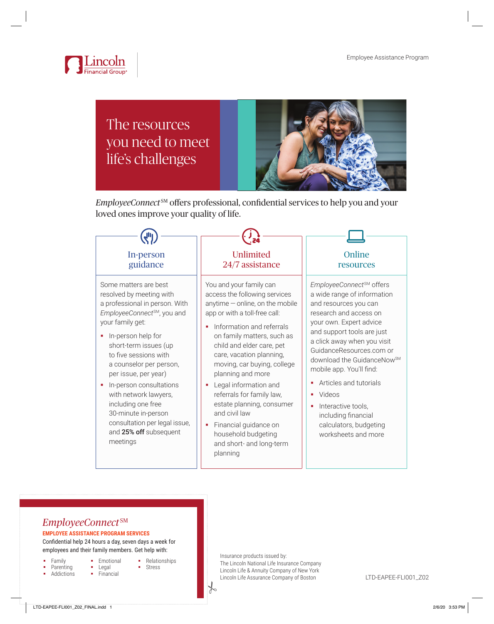

# The resources you need to meet life's challenges



*EmployeeConnect* SM offers professional, confidential services to help you and your loved ones improve your quality of life.



# *EmployeeConnect* SM

#### **EMPLOYEE ASSISTANCE PROGRAM SERVICES**

Confidential help 24 hours a day, seven days a week for employees and their family members. Get help with:

> **Emotional Legal** • Financial

- Family
- Parenting
- **Addictions**
- Relationships
- Stress
- 
- 

 $\frac{1}{6}$ 

Insurance products issued by: The Lincoln National Life Insurance Company Lincoln Life & Annuity Company of New York Lincoln Life Assurance Company of Boston LTD-EAPEE-FLI001\_Z02